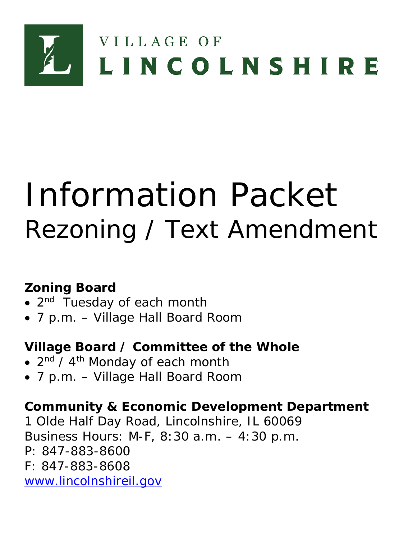

# Information Packet Rezoning / Text Amendment

# **Zoning Board**

- 2<sup>nd</sup> Tuesday of each month
- 7 p.m. Village Hall Board Room

# **Village Board / Committee of the Whole**

- $2<sup>nd</sup> / 4<sup>th</sup>$  Monday of each month
- 7 p.m. Village Hall Board Room

# **Community & Economic Development Department**

1 Olde Half Day Road, Lincolnshire, IL 60069 Business Hours: M-F, 8:30 a.m. – 4:30 p.m. P: 847-883-8600 F: 847-883-8608 [www.lincolnshireil.gov](http://www.lincolnshireil.gov/)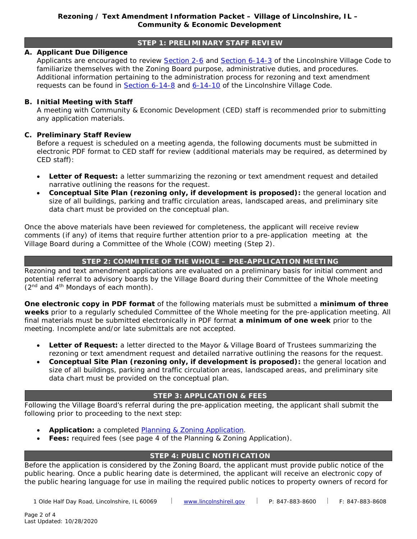## **STEP 1: PRELIMINARY STAFF REVIEW**

# **A. Applicant Due Diligence**

Applicants are encouraged to review [Section 2-6](https://www.lincolnshireil.gov/sitemedia/documents/quick_links/village-code/title-2/code0206.pdf) and [Section 6-14-3](https://www.lincolnshireil.gov/sitemedia/documents/quick_links/village-code/title-6/code0614.pdf) of the Lincolnshire Village Code to familiarize themselves with the Zoning Board purpose, administrative duties, and procedures. Additional information pertaining to the administration process for rezoning and text amendment requests can be found in  $S$ ection  $6-14-8$  and  $6-14-10$  of the Lincolnshire Village Code.

# **B. Initial Meeting with Staff**

A meeting with Community & Economic Development (CED) staff is recommended prior to submitting any application materials.

# **C. Preliminary Staff Review**

Before a request is scheduled on a meeting agenda, the following documents must be submitted in electronic PDF format to CED staff for review (additional materials may be required, as determined by CED staff):

- *Letter of Request***:** a letter summarizing the rezoning or text amendment request and detailed narrative outlining the reasons for the request.
- *Conceptual Site Plan (rezoning only, if development is proposed)***:** the general location and size of all buildings, parking and traffic circulation areas, landscaped areas, and preliminary site data chart must be provided on the conceptual plan.

Once the above materials have been reviewed for completeness, the applicant will receive review comments (if any) of items that require further attention prior to a pre-application meeting at the Village Board during a Committee of the Whole (COW) meeting (Step 2).

# **STEP 2: COMMITTEE OF THE WHOLE – PRE-APPLICATION MEETING**

Rezoning and text amendment applications are evaluated on a preliminary basis for initial comment and potential referral to advisory boards by the Village Board during their Committee of the Whole meeting  $(2<sup>nd</sup>$  and  $4<sup>th</sup>$  Mondays of each month).

**One electronic copy in PDF format** of the following materials must be submitted a **minimum of three weeks** prior to a regularly scheduled Committee of the Whole meeting for the pre-application meeting. All final materials must be submitted electronically in PDF format **a minimum of one week** prior to the meeting. Incomplete and/or late submittals are not accepted.

- *Letter of Request***:** a letter directed to the Mayor & Village Board of Trustees summarizing the rezoning or text amendment request and detailed narrative outlining the reasons for the request.
- *Conceptual Site Plan (rezoning only, if development is proposed)***:** the general location and size of all buildings, parking and traffic circulation areas, landscaped areas, and preliminary site data chart must be provided on the conceptual plan.

#### **STEP 3: APPLICATION & FEES**

Following the Village Board's referral during the pre-application meeting, the applicant shall submit the following prior to proceeding to the next step:

- Application: a completed **Planning & Zoning Application**.
- **Fees:** required fees (see page 4 of the Planning & Zoning Application).

# **STEP 4: PUBLIC NOTIFICATION**

Before the application is considered by the Zoning Board, the applicant must provide public notice of the public hearing. Once a public hearing date is determined, the applicant will receive an electronic copy of the public hearing language for use in mailing the required public notices to property owners of record for

1 Olde Half Day Road, Lincolnshire, IL 60069 [www.lincolnshireil.gov](http://www.lincolnshireil.gov/) P: 847-883-8600 F: 847-883-8608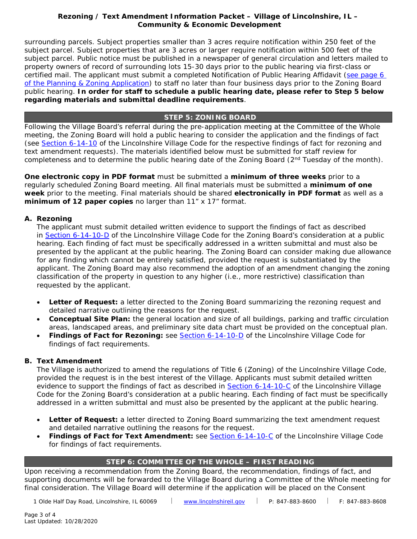### **Rezoning / Text Amendment Information Packet - Village of Lincolnshire, IL -Community & Economic Development**

surrounding parcels. Subject properties smaller than 3 acres require notification within 250 feet of the subject parcel. Subject properties that are 3 acres or larger require notification within 500 feet of the subject parcel. Public notice must be published in a newspaper of general circulation and letters mailed to property owners of record of surrounding lots 15-30 days prior to the public hearing via first-class or certified mail. The applicant must submit a completed Notification of Public Hearing Affidavit (see page 6 [of the Planning & Zoning Application\)](https://www.lincolnshireil.gov/sitemedia/documents/quick_links/permits-applications-policies/Plan_Zoning_App.pdf) to staff no later than four business days prior to the Zoning Board public hearing. **In order for staff to schedule a public hearing date, please refer to Step 5 below regarding materials and submittal deadline requirements**.

### **STEP 5: ZONING BOARD**

Following the Village Board's referral during the pre-application meeting at the Committee of the Whole meeting, the Zoning Board will hold a public hearing to consider the application and the findings of fact (see [Section 6-14-10](https://www.lincolnshireil.gov/sitemedia/documents/quick_links/village-code/title-6/code0614.pdf) of the Lincolnshire Village Code for the respective findings of fact for rezoning and text amendment requests). The materials identified below must be submitted for staff review for completeness and to determine the public hearing date of the Zoning Board ( $2<sup>nd</sup>$  Tuesday of the month).

**One electronic copy in PDF format** must be submitted a **minimum of three weeks** prior to a regularly scheduled Zoning Board meeting. All final materials must be submitted a **minimum of one week** prior to the meeting. Final materials should be shared **electronically in PDF format** as well as a **minimum of 12 paper copies** no larger than 11" x 17" format.

#### **A. Rezoning**

The applicant must submit detailed written evidence to support the findings of fact as described in [Section 6-14-10-D](https://www.lincolnshireil.gov/sitemedia/documents/quick_links/village-code/title-6/code0614.pdf) of the Lincolnshire Village Code for the Zoning Board's consideration at a public hearing. Each finding of fact must be specifically addressed in a written submittal and must also be presented by the applicant at the public hearing. The Zoning Board can consider making due allowance for any finding which cannot be entirely satisfied, provided the request is substantiated by the applicant. The Zoning Board may also recommend the adoption of an amendment changing the zoning classification of the property in question to any higher (i.e., more restrictive) classification than requested by the applicant.

- **Letter of Request:** a letter directed to the Zoning Board summarizing the rezoning request and detailed narrative outlining the reasons for the request.
- *Conceptual Site Plan:* the general location and size of all buildings, parking and traffic circulation areas, landscaped areas, and preliminary site data chart must be provided on the conceptual plan.
- *Findings of Fact for Rezoning:* see [Section 6-14-10-D](https://www.lincolnshireil.gov/sitemedia/documents/quick_links/village-code/title-6/code0614.pdf) of the Lincolnshire Village Code for findings of fact requirements.

# **B. Text Amendment**

The Village is authorized to amend the regulations of Title 6 (Zoning) of the Lincolnshire Village Code, provided the request is in the best interest of the Village. Applicants must submit detailed written evidence to support the findings of fact as described in [Section 6-14-10-C](https://www.lincolnshireil.gov/sitemedia/documents/quick_links/village-code/title-6/code0614.pdf) of the Lincolnshire Village Code for the Zoning Board's consideration at a public hearing. Each finding of fact must be specifically addressed in a written submittal and must also be presented by the applicant at the public hearing.

- *Letter of Request***:** a letter directed to Zoning Board summarizing the text amendment request and detailed narrative outlining the reasons for the request.
- *Findings of Fact for Text Amendment:* see [Section 6-14-10-C](https://www.lincolnshireil.gov/sitemedia/documents/quick_links/village-code/title-6/code0614.pdf) of the Lincolnshire Village Code for findings of fact requirements.

# **STEP 6: COMMITTEE OF THE WHOLE – FIRST READING**

Upon receiving a recommendation from the Zoning Board, the recommendation, findings of fact, and supporting documents will be forwarded to the Village Board during a Committee of the Whole meeting for final consideration. The Village Board will determine if the application will be placed on the Consent

1 Olde Half Day Road, Lincolnshire, IL 60069 | [www.lincolnshireil.gov](http://www.lincolnshireil.gov/) | P: 847-883-8600 | F: 847-883-8608